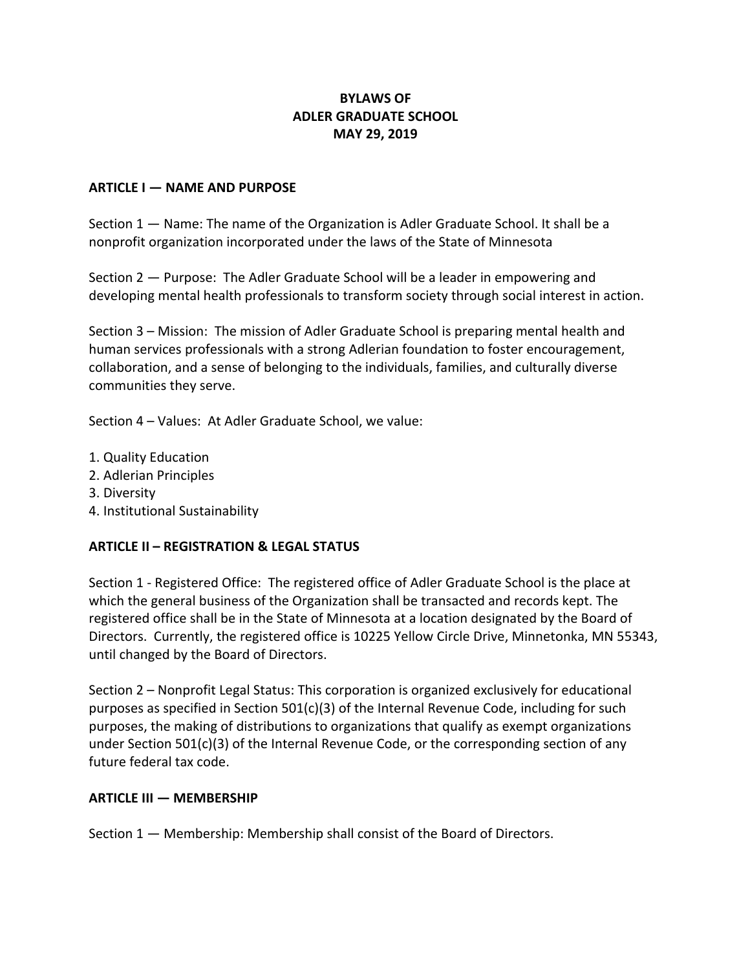# **BYLAWS OF ADLER GRADUATE SCHOOL MAY 29, 2019**

#### **ARTICLE I — NAME AND PURPOSE**

Section 1 — Name: The name of the Organization is Adler Graduate School. It shall be a nonprofit organization incorporated under the laws of the State of Minnesota

Section 2 — Purpose: The Adler Graduate School will be a leader in empowering and developing mental health professionals to transform society through social interest in action.

Section 3 – Mission: The mission of Adler Graduate School is preparing mental health and human services professionals with a strong Adlerian foundation to foster encouragement, collaboration, and a sense of belonging to the individuals, families, and culturally diverse communities they serve.

Section 4 – Values: At Adler Graduate School, we value:

- 1. Quality Education
- 2. Adlerian Principles
- 3. Diversity
- 4. Institutional Sustainability

#### **ARTICLE II – REGISTRATION & LEGAL STATUS**

Section 1 - Registered Office: The registered office of Adler Graduate School is the place at which the general business of the Organization shall be transacted and records kept. The registered office shall be in the State of Minnesota at a location designated by the Board of Directors. Currently, the registered office is 10225 Yellow Circle Drive, Minnetonka, MN 55343, until changed by the Board of Directors.

Section 2 – Nonprofit Legal Status: This corporation is organized exclusively for educational purposes as specified in Section  $501(c)(3)$  of the Internal Revenue Code, including for such purposes, the making of distributions to organizations that qualify as exempt organizations under Section 501(c)(3) of the Internal Revenue Code, or the corresponding section of any future federal tax code.

#### **ARTICLE III — MEMBERSHIP**

Section 1 — Membership: Membership shall consist of the Board of Directors.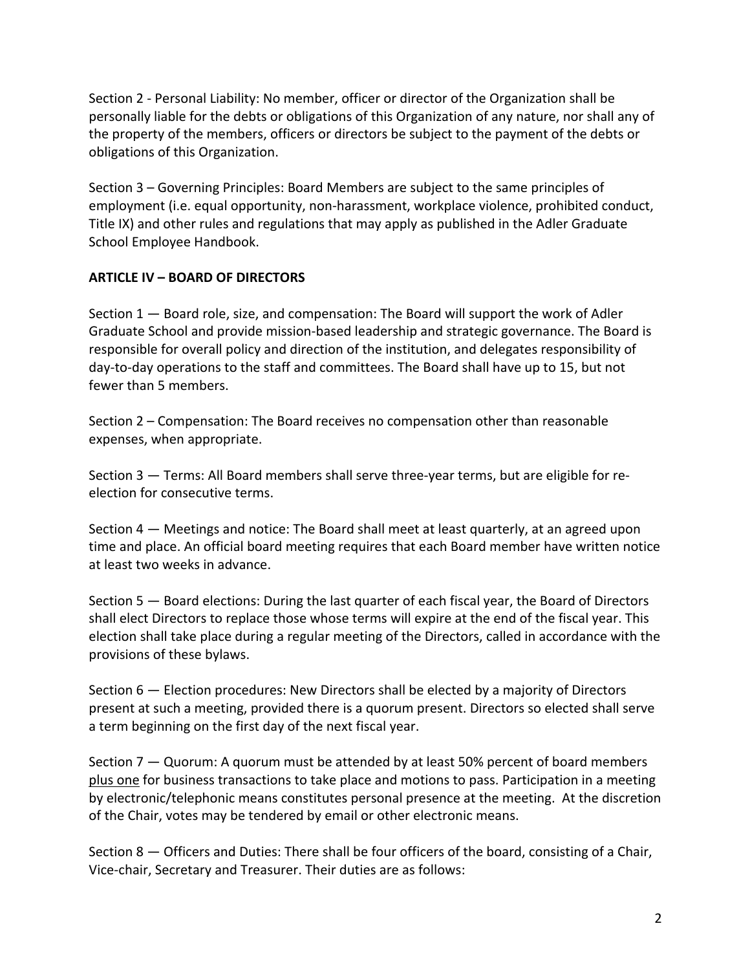Section 2 - Personal Liability: No member, officer or director of the Organization shall be personally liable for the debts or obligations of this Organization of any nature, nor shall any of the property of the members, officers or directors be subject to the payment of the debts or obligations of this Organization.

Section 3 – Governing Principles: Board Members are subject to the same principles of employment (i.e. equal opportunity, non-harassment, workplace violence, prohibited conduct, Title IX) and other rules and regulations that may apply as published in the Adler Graduate School Employee Handbook.

### **ARTICLE IV – BOARD OF DIRECTORS**

Section 1 — Board role, size, and compensation: The Board will support the work of Adler Graduate School and provide mission-based leadership and strategic governance. The Board is responsible for overall policy and direction of the institution, and delegates responsibility of day-to-day operations to the staff and committees. The Board shall have up to 15, but not fewer than 5 members.

Section 2 – Compensation: The Board receives no compensation other than reasonable expenses, when appropriate.

Section 3 — Terms: All Board members shall serve three-year terms, but are eligible for reelection for consecutive terms.

Section 4 — Meetings and notice: The Board shall meet at least quarterly, at an agreed upon time and place. An official board meeting requires that each Board member have written notice at least two weeks in advance.

Section 5 — Board elections: During the last quarter of each fiscal year, the Board of Directors shall elect Directors to replace those whose terms will expire at the end of the fiscal year. This election shall take place during a regular meeting of the Directors, called in accordance with the provisions of these bylaws.

Section 6 — Election procedures: New Directors shall be elected by a majority of Directors present at such a meeting, provided there is a quorum present. Directors so elected shall serve a term beginning on the first day of the next fiscal year.

Section 7 — Quorum: A quorum must be attended by at least 50% percent of board members plus one for business transactions to take place and motions to pass. Participation in a meeting by electronic/telephonic means constitutes personal presence at the meeting. At the discretion of the Chair, votes may be tendered by email or other electronic means.

Section 8 — Officers and Duties: There shall be four officers of the board, consisting of a Chair, Vice-chair, Secretary and Treasurer. Their duties are as follows: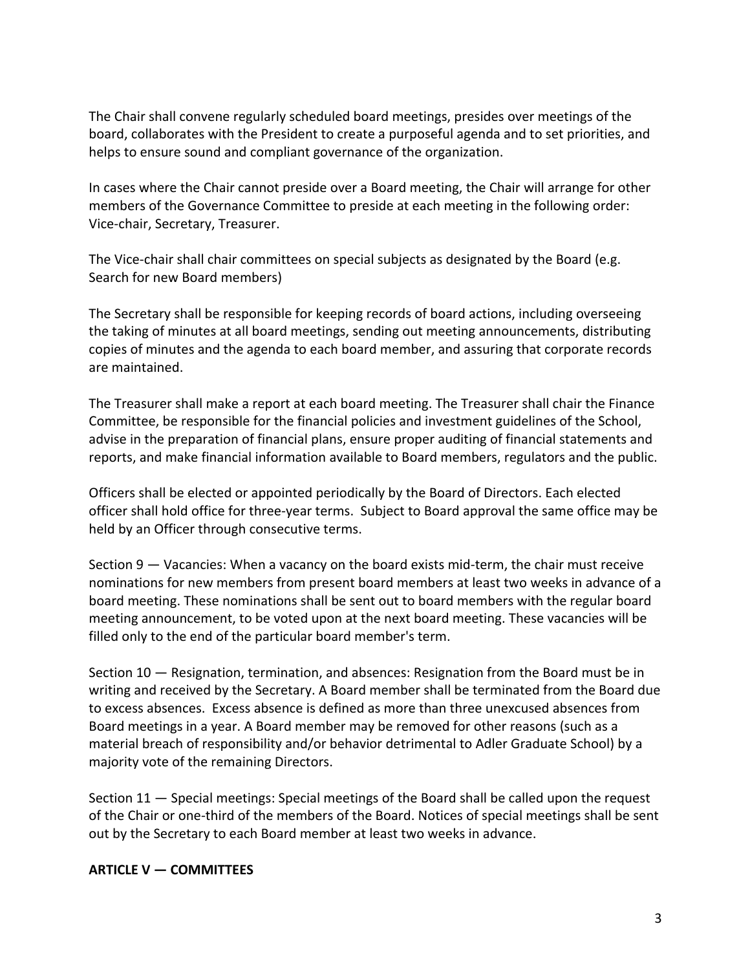The Chair shall convene regularly scheduled board meetings, presides over meetings of the board, collaborates with the President to create a purposeful agenda and to set priorities, and helps to ensure sound and compliant governance of the organization.

In cases where the Chair cannot preside over a Board meeting, the Chair will arrange for other members of the Governance Committee to preside at each meeting in the following order: Vice-chair, Secretary, Treasurer.

The Vice-chair shall chair committees on special subjects as designated by the Board (e.g. Search for new Board members)

The Secretary shall be responsible for keeping records of board actions, including overseeing the taking of minutes at all board meetings, sending out meeting announcements, distributing copies of minutes and the agenda to each board member, and assuring that corporate records are maintained.

The Treasurer shall make a report at each board meeting. The Treasurer shall chair the Finance Committee, be responsible for the financial policies and investment guidelines of the School, advise in the preparation of financial plans, ensure proper auditing of financial statements and reports, and make financial information available to Board members, regulators and the public.

Officers shall be elected or appointed periodically by the Board of Directors. Each elected officer shall hold office for three-year terms. Subject to Board approval the same office may be held by an Officer through consecutive terms.

Section 9 — Vacancies: When a vacancy on the board exists mid-term, the chair must receive nominations for new members from present board members at least two weeks in advance of a board meeting. These nominations shall be sent out to board members with the regular board meeting announcement, to be voted upon at the next board meeting. These vacancies will be filled only to the end of the particular board member's term.

Section 10 — Resignation, termination, and absences: Resignation from the Board must be in writing and received by the Secretary. A Board member shall be terminated from the Board due to excess absences. Excess absence is defined as more than three unexcused absences from Board meetings in a year. A Board member may be removed for other reasons (such as a material breach of responsibility and/or behavior detrimental to Adler Graduate School) by a majority vote of the remaining Directors.

Section 11 — Special meetings: Special meetings of the Board shall be called upon the request of the Chair or one-third of the members of the Board. Notices of special meetings shall be sent out by the Secretary to each Board member at least two weeks in advance.

### **ARTICLE V — COMMITTEES**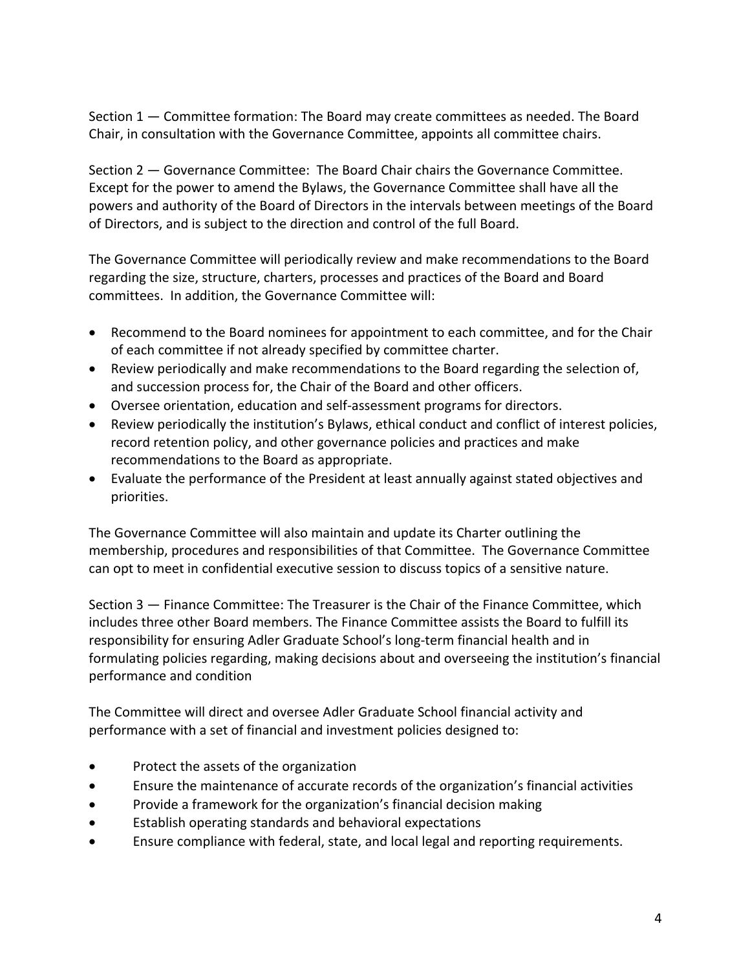Section 1 — Committee formation: The Board may create committees as needed. The Board Chair, in consultation with the Governance Committee, appoints all committee chairs.

Section 2 — Governance Committee: The Board Chair chairs the Governance Committee. Except for the power to amend the Bylaws, the Governance Committee shall have all the powers and authority of the Board of Directors in the intervals between meetings of the Board of Directors, and is subject to the direction and control of the full Board.

The Governance Committee will periodically review and make recommendations to the Board regarding the size, structure, charters, processes and practices of the Board and Board committees. In addition, the Governance Committee will:

- Recommend to the Board nominees for appointment to each committee, and for the Chair of each committee if not already specified by committee charter.
- Review periodically and make recommendations to the Board regarding the selection of, and succession process for, the Chair of the Board and other officers.
- Oversee orientation, education and self-assessment programs for directors.
- Review periodically the institution's Bylaws, ethical conduct and conflict of interest policies, record retention policy, and other governance policies and practices and make recommendations to the Board as appropriate.
- Evaluate the performance of the President at least annually against stated objectives and priorities.

The Governance Committee will also maintain and update its Charter outlining the membership, procedures and responsibilities of that Committee. The Governance Committee can opt to meet in confidential executive session to discuss topics of a sensitive nature.

Section 3 — Finance Committee: The Treasurer is the Chair of the Finance Committee, which includes three other Board members. The Finance Committee assists the Board to fulfill its responsibility for ensuring Adler Graduate School's long-term financial health and in formulating policies regarding, making decisions about and overseeing the institution's financial performance and condition

The Committee will direct and oversee Adler Graduate School financial activity and performance with a set of financial and investment policies designed to:

- Protect the assets of the organization
- Ensure the maintenance of accurate records of the organization's financial activities
- Provide a framework for the organization's financial decision making
- Establish operating standards and behavioral expectations
- Ensure compliance with federal, state, and local legal and reporting requirements.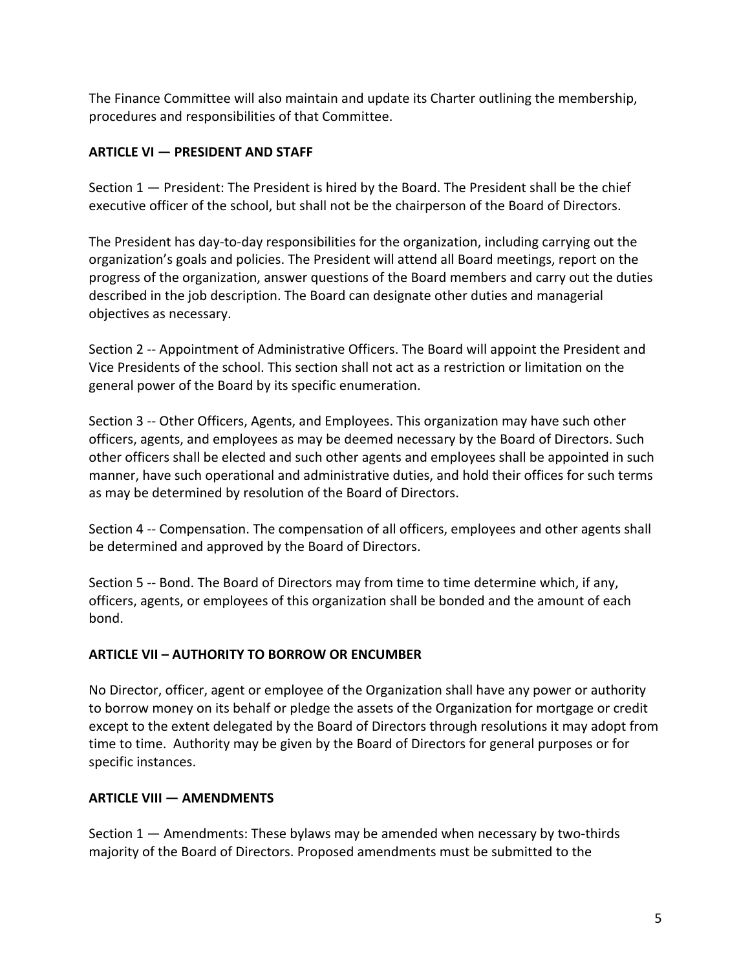The Finance Committee will also maintain and update its Charter outlining the membership, procedures and responsibilities of that Committee.

# **ARTICLE VI — PRESIDENT AND STAFF**

Section 1 — President: The President is hired by the Board. The President shall be the chief executive officer of the school, but shall not be the chairperson of the Board of Directors.

The President has day-to-day responsibilities for the organization, including carrying out the organization's goals and policies. The President will attend all Board meetings, report on the progress of the organization, answer questions of the Board members and carry out the duties described in the job description. The Board can designate other duties and managerial objectives as necessary.

Section 2 -- Appointment of Administrative Officers. The Board will appoint the President and Vice Presidents of the school. This section shall not act as a restriction or limitation on the general power of the Board by its specific enumeration.

Section 3 -- Other Officers, Agents, and Employees. This organization may have such other officers, agents, and employees as may be deemed necessary by the Board of Directors. Such other officers shall be elected and such other agents and employees shall be appointed in such manner, have such operational and administrative duties, and hold their offices for such terms as may be determined by resolution of the Board of Directors.

Section 4 -- Compensation. The compensation of all officers, employees and other agents shall be determined and approved by the Board of Directors.

Section 5 -- Bond. The Board of Directors may from time to time determine which, if any, officers, agents, or employees of this organization shall be bonded and the amount of each bond.

### **ARTICLE VII – AUTHORITY TO BORROW OR ENCUMBER**

No Director, officer, agent or employee of the Organization shall have any power or authority to borrow money on its behalf or pledge the assets of the Organization for mortgage or credit except to the extent delegated by the Board of Directors through resolutions it may adopt from time to time. Authority may be given by the Board of Directors for general purposes or for specific instances.

# **ARTICLE VIII — AMENDMENTS**

Section 1 — Amendments: These bylaws may be amended when necessary by two-thirds majority of the Board of Directors. Proposed amendments must be submitted to the